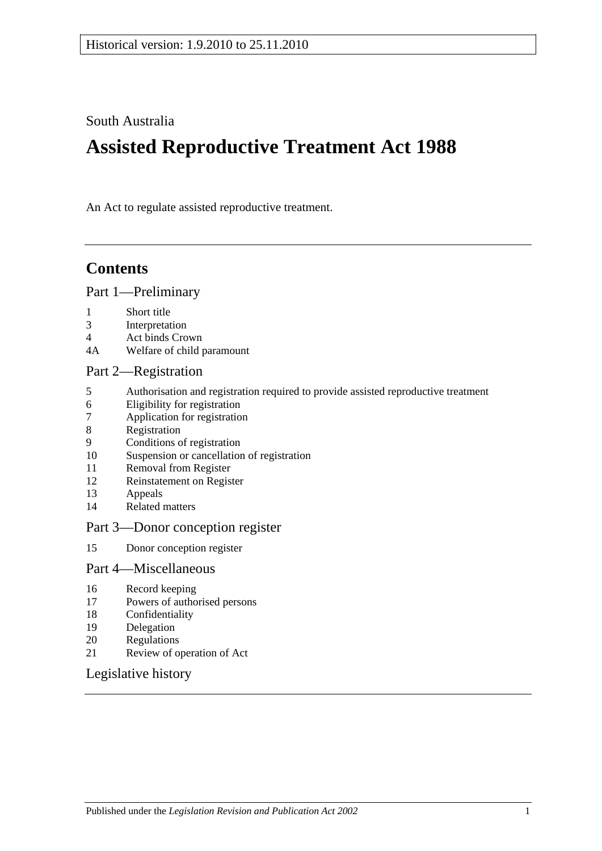South Australia

# **Assisted Reproductive Treatment Act 1988**

An Act to regulate assisted reproductive treatment.

## **Contents**

### [Part 1—Preliminary](#page-1-0)

- 1 [Short title](#page-1-1)
- 3 [Interpretation](#page-1-2)
- 4 [Act binds Crown](#page-1-3)
- 4A [Welfare of child paramount](#page-1-4)

### [Part 2—Registration](#page-2-0)

- 5 [Authorisation and registration required to provide assisted reproductive treatment](#page-2-1)<br>6 Eligibility for registration
- [Eligibility for registration](#page-2-2)
- 7 [Application for registration](#page-2-3)
- 8 [Registration](#page-3-0)
- 9 [Conditions of registration](#page-3-1)
- 10 [Suspension or cancellation of registration](#page-4-0)
- 11 [Removal from Register](#page-4-1)
- 12 [Reinstatement on Register](#page-5-0)
- 13 [Appeals](#page-5-1)
- 14 [Related matters](#page-6-0)

#### [Part 3—Donor conception register](#page-6-1)

15 [Donor conception register](#page-6-2)

#### [Part 4—Miscellaneous](#page-7-0)

- 16 [Record keeping](#page-7-1)
- 17 [Powers of authorised persons](#page-7-2)
- 18 [Confidentiality](#page-8-0)
- 19 [Delegation](#page-8-1)
- 20 [Regulations](#page-8-2)
- 21 [Review of operation of Act](#page-9-0)

## [Legislative history](#page-10-0)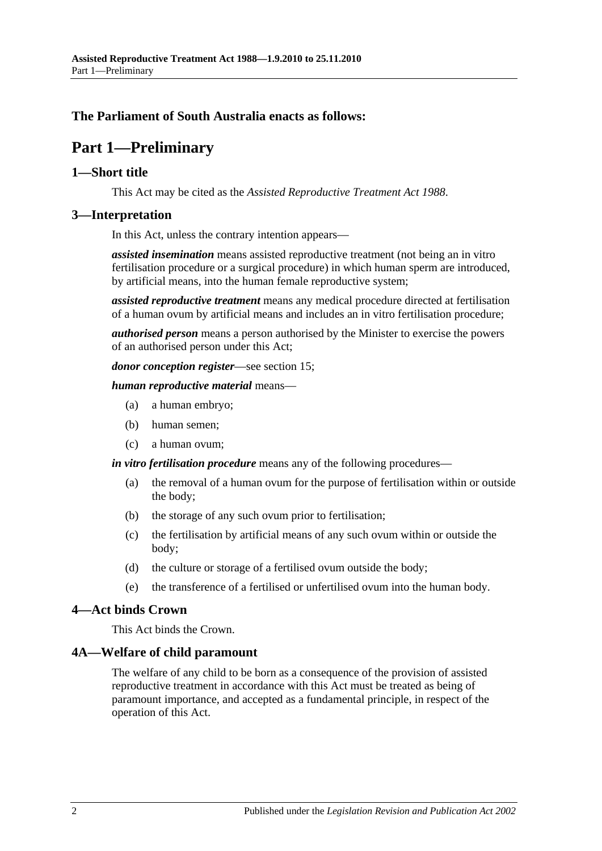## <span id="page-1-0"></span>**The Parliament of South Australia enacts as follows:**

## **Part 1—Preliminary**

#### <span id="page-1-1"></span>**1—Short title**

This Act may be cited as the *Assisted Reproductive Treatment Act 1988*.

### <span id="page-1-2"></span>**3—Interpretation**

In this Act, unless the contrary intention appears—

*assisted insemination* means assisted reproductive treatment (not being an in vitro fertilisation procedure or a surgical procedure) in which human sperm are introduced, by artificial means, into the human female reproductive system;

*assisted reproductive treatment* means any medical procedure directed at fertilisation of a human ovum by artificial means and includes an in vitro fertilisation procedure;

*authorised person* means a person authorised by the Minister to exercise the powers of an authorised person under this Act;

*donor conception register*—see [section](#page-6-2) 15;

*human reproductive material* means—

- (a) a human embryo;
- (b) human semen;
- (c) a human ovum;

*in vitro fertilisation procedure* means any of the following procedures—

- (a) the removal of a human ovum for the purpose of fertilisation within or outside the body;
- (b) the storage of any such ovum prior to fertilisation;
- (c) the fertilisation by artificial means of any such ovum within or outside the body;
- (d) the culture or storage of a fertilised ovum outside the body;
- (e) the transference of a fertilised or unfertilised ovum into the human body.

#### <span id="page-1-3"></span>**4—Act binds Crown**

This Act binds the Crown.

#### <span id="page-1-4"></span>**4A—Welfare of child paramount**

The welfare of any child to be born as a consequence of the provision of assisted reproductive treatment in accordance with this Act must be treated as being of paramount importance, and accepted as a fundamental principle, in respect of the operation of this Act.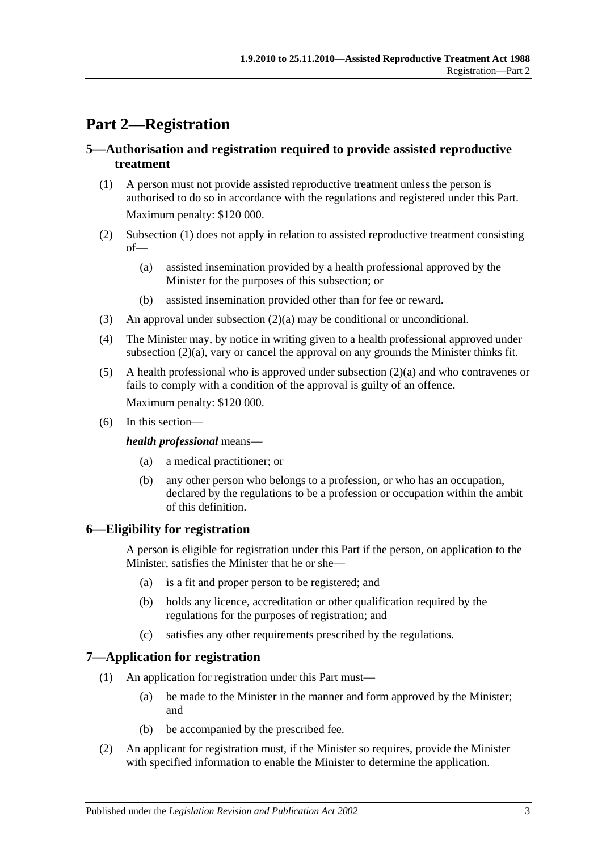## <span id="page-2-0"></span>**Part 2—Registration**

## <span id="page-2-1"></span>**5—Authorisation and registration required to provide assisted reproductive treatment**

- <span id="page-2-4"></span>(1) A person must not provide assisted reproductive treatment unless the person is authorised to do so in accordance with the regulations and registered under this Part. Maximum penalty: \$120 000.
- <span id="page-2-6"></span><span id="page-2-5"></span>(2) [Subsection](#page-2-4) (1) does not apply in relation to assisted reproductive treatment consisting of—
	- (a) assisted insemination provided by a health professional approved by the Minister for the purposes of this subsection; or
	- (b) assisted insemination provided other than for fee or reward.
- (3) An approval under [subsection](#page-2-5)  $(2)(a)$  may be conditional or unconditional.
- <span id="page-2-7"></span>(4) The Minister may, by notice in writing given to a health professional approved under [subsection](#page-2-5) (2)(a), vary or cancel the approval on any grounds the Minister thinks fit.
- (5) A health professional who is approved under [subsection](#page-2-5) (2)(a) and who contravenes or fails to comply with a condition of the approval is guilty of an offence. Maximum penalty: \$120 000.
- (6) In this section—

#### *health professional* means—

- (a) a medical practitioner; or
- (b) any other person who belongs to a profession, or who has an occupation, declared by the regulations to be a profession or occupation within the ambit of this definition.

## <span id="page-2-2"></span>**6—Eligibility for registration**

A person is eligible for registration under this Part if the person, on application to the Minister, satisfies the Minister that he or she—

- (a) is a fit and proper person to be registered; and
- (b) holds any licence, accreditation or other qualification required by the regulations for the purposes of registration; and
- (c) satisfies any other requirements prescribed by the regulations.

## <span id="page-2-3"></span>**7—Application for registration**

- (1) An application for registration under this Part must—
	- (a) be made to the Minister in the manner and form approved by the Minister; and
	- (b) be accompanied by the prescribed fee.
- (2) An applicant for registration must, if the Minister so requires, provide the Minister with specified information to enable the Minister to determine the application.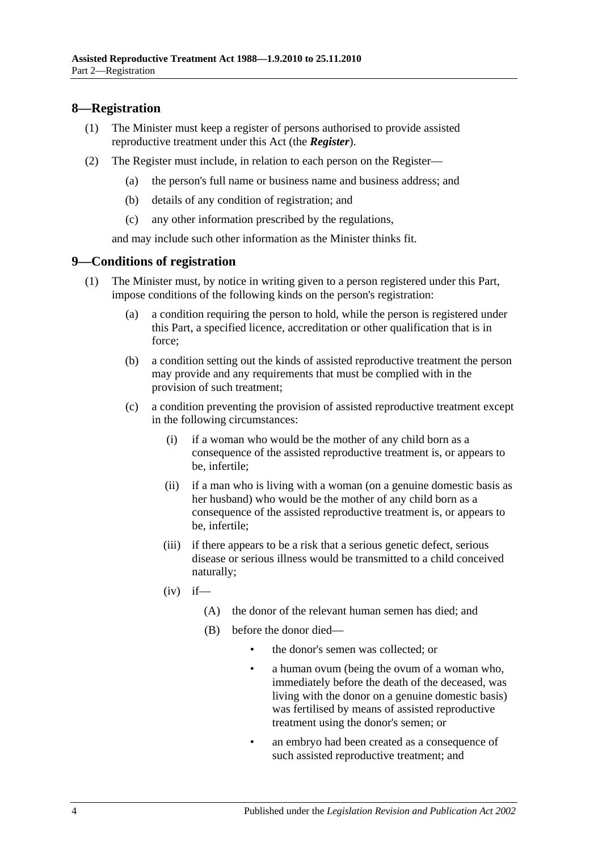## <span id="page-3-0"></span>**8—Registration**

- (1) The Minister must keep a register of persons authorised to provide assisted reproductive treatment under this Act (the *Register*).
- (2) The Register must include, in relation to each person on the Register—
	- (a) the person's full name or business name and business address; and
	- (b) details of any condition of registration; and
	- (c) any other information prescribed by the regulations,

and may include such other information as the Minister thinks fit.

### <span id="page-3-1"></span>**9—Conditions of registration**

- (1) The Minister must, by notice in writing given to a person registered under this Part, impose conditions of the following kinds on the person's registration:
	- (a) a condition requiring the person to hold, while the person is registered under this Part, a specified licence, accreditation or other qualification that is in force;
	- (b) a condition setting out the kinds of assisted reproductive treatment the person may provide and any requirements that must be complied with in the provision of such treatment;
	- (c) a condition preventing the provision of assisted reproductive treatment except in the following circumstances:
		- (i) if a woman who would be the mother of any child born as a consequence of the assisted reproductive treatment is, or appears to be, infertile;
		- (ii) if a man who is living with a woman (on a genuine domestic basis as her husband) who would be the mother of any child born as a consequence of the assisted reproductive treatment is, or appears to be, infertile;
		- (iii) if there appears to be a risk that a serious genetic defect, serious disease or serious illness would be transmitted to a child conceived naturally;
		- $(iv)$  if—
			- (A) the donor of the relevant human semen has died; and
			- (B) before the donor died—
				- the donor's semen was collected; or
				- a human ovum (being the ovum of a woman who, immediately before the death of the deceased, was living with the donor on a genuine domestic basis) was fertilised by means of assisted reproductive treatment using the donor's semen; or
				- an embryo had been created as a consequence of such assisted reproductive treatment; and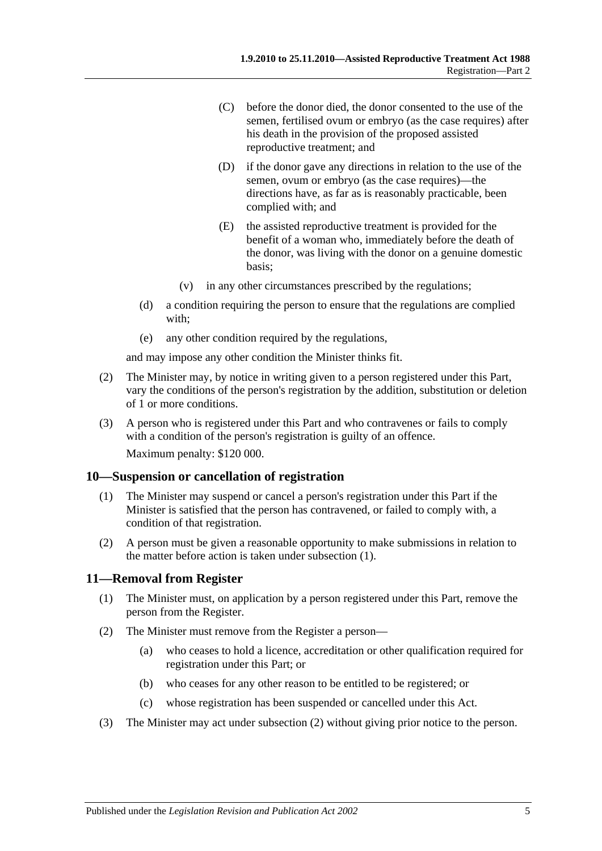- (C) before the donor died, the donor consented to the use of the semen, fertilised ovum or embryo (as the case requires) after his death in the provision of the proposed assisted reproductive treatment; and
- (D) if the donor gave any directions in relation to the use of the semen, ovum or embryo (as the case requires)—the directions have, as far as is reasonably practicable, been complied with; and
- (E) the assisted reproductive treatment is provided for the benefit of a woman who, immediately before the death of the donor, was living with the donor on a genuine domestic basis;
- (v) in any other circumstances prescribed by the regulations;
- (d) a condition requiring the person to ensure that the regulations are complied with;
- (e) any other condition required by the regulations,

and may impose any other condition the Minister thinks fit.

- (2) The Minister may, by notice in writing given to a person registered under this Part, vary the conditions of the person's registration by the addition, substitution or deletion of 1 or more conditions.
- (3) A person who is registered under this Part and who contravenes or fails to comply with a condition of the person's registration is guilty of an offence. Maximum penalty: \$120 000.

## <span id="page-4-2"></span><span id="page-4-0"></span>**10—Suspension or cancellation of registration**

- (1) The Minister may suspend or cancel a person's registration under this Part if the Minister is satisfied that the person has contravened, or failed to comply with, a condition of that registration.
- (2) A person must be given a reasonable opportunity to make submissions in relation to the matter before action is taken under [subsection](#page-4-2) (1).

## <span id="page-4-1"></span>**11—Removal from Register**

- (1) The Minister must, on application by a person registered under this Part, remove the person from the Register.
- <span id="page-4-3"></span>(2) The Minister must remove from the Register a person—
	- (a) who ceases to hold a licence, accreditation or other qualification required for registration under this Part; or
	- (b) who ceases for any other reason to be entitled to be registered; or
	- (c) whose registration has been suspended or cancelled under this Act.
- (3) The Minister may act under [subsection](#page-4-3) (2) without giving prior notice to the person.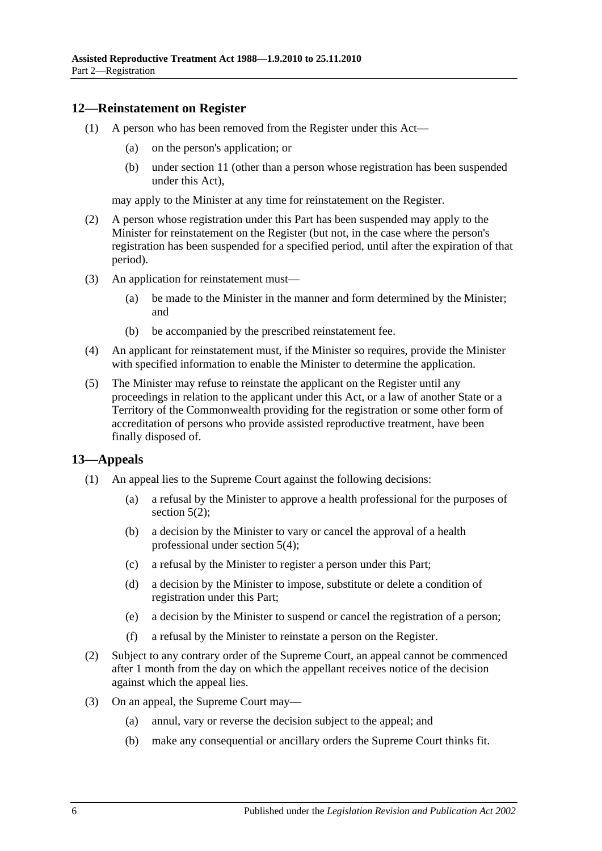### <span id="page-5-0"></span>**12—Reinstatement on Register**

- (1) A person who has been removed from the Register under this Act—
	- (a) on the person's application; or
	- (b) under [section](#page-4-1) 11 (other than a person whose registration has been suspended under this Act),

may apply to the Minister at any time for reinstatement on the Register.

- (2) A person whose registration under this Part has been suspended may apply to the Minister for reinstatement on the Register (but not, in the case where the person's registration has been suspended for a specified period, until after the expiration of that period).
- (3) An application for reinstatement must—
	- (a) be made to the Minister in the manner and form determined by the Minister; and
	- (b) be accompanied by the prescribed reinstatement fee.
- (4) An applicant for reinstatement must, if the Minister so requires, provide the Minister with specified information to enable the Minister to determine the application.
- (5) The Minister may refuse to reinstate the applicant on the Register until any proceedings in relation to the applicant under this Act, or a law of another State or a Territory of the Commonwealth providing for the registration or some other form of accreditation of persons who provide assisted reproductive treatment, have been finally disposed of.

## <span id="page-5-1"></span>**13—Appeals**

- (1) An appeal lies to the Supreme Court against the following decisions:
	- (a) a refusal by the Minister to approve a health professional for the purposes of [section](#page-2-6)  $5(2)$ ;
	- (b) a decision by the Minister to vary or cancel the approval of a health professional under [section](#page-2-7) 5(4);
	- (c) a refusal by the Minister to register a person under this Part;
	- (d) a decision by the Minister to impose, substitute or delete a condition of registration under this Part;
	- (e) a decision by the Minister to suspend or cancel the registration of a person;
	- (f) a refusal by the Minister to reinstate a person on the Register.
- (2) Subject to any contrary order of the Supreme Court, an appeal cannot be commenced after 1 month from the day on which the appellant receives notice of the decision against which the appeal lies.
- (3) On an appeal, the Supreme Court may—
	- (a) annul, vary or reverse the decision subject to the appeal; and
	- (b) make any consequential or ancillary orders the Supreme Court thinks fit.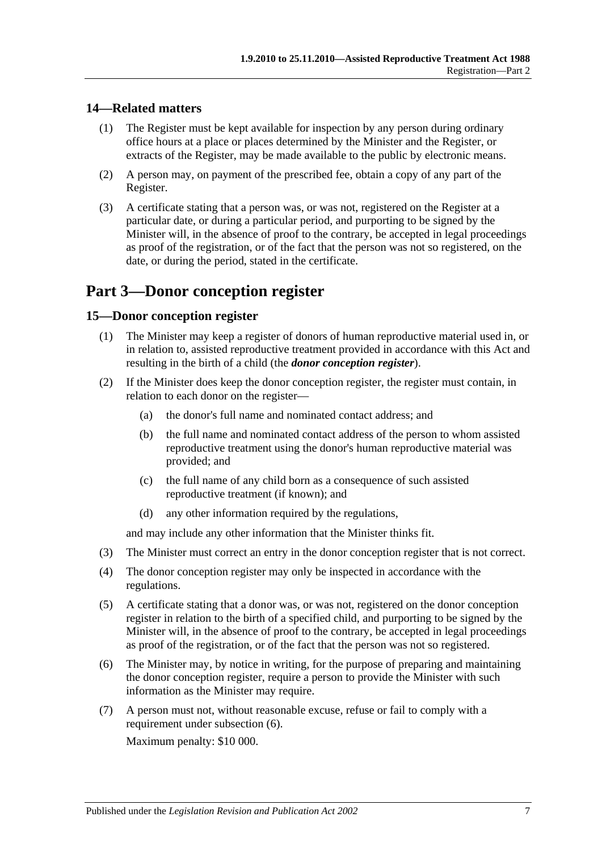## <span id="page-6-0"></span>**14—Related matters**

- (1) The Register must be kept available for inspection by any person during ordinary office hours at a place or places determined by the Minister and the Register, or extracts of the Register, may be made available to the public by electronic means.
- (2) A person may, on payment of the prescribed fee, obtain a copy of any part of the Register.
- (3) A certificate stating that a person was, or was not, registered on the Register at a particular date, or during a particular period, and purporting to be signed by the Minister will, in the absence of proof to the contrary, be accepted in legal proceedings as proof of the registration, or of the fact that the person was not so registered, on the date, or during the period, stated in the certificate.

## <span id="page-6-1"></span>**Part 3—Donor conception register**

## <span id="page-6-2"></span>**15—Donor conception register**

- (1) The Minister may keep a register of donors of human reproductive material used in, or in relation to, assisted reproductive treatment provided in accordance with this Act and resulting in the birth of a child (the *donor conception register*).
- (2) If the Minister does keep the donor conception register, the register must contain, in relation to each donor on the register—
	- (a) the donor's full name and nominated contact address; and
	- (b) the full name and nominated contact address of the person to whom assisted reproductive treatment using the donor's human reproductive material was provided; and
	- (c) the full name of any child born as a consequence of such assisted reproductive treatment (if known); and
	- (d) any other information required by the regulations,

and may include any other information that the Minister thinks fit.

- (3) The Minister must correct an entry in the donor conception register that is not correct.
- (4) The donor conception register may only be inspected in accordance with the regulations.
- (5) A certificate stating that a donor was, or was not, registered on the donor conception register in relation to the birth of a specified child, and purporting to be signed by the Minister will, in the absence of proof to the contrary, be accepted in legal proceedings as proof of the registration, or of the fact that the person was not so registered.
- <span id="page-6-3"></span>(6) The Minister may, by notice in writing, for the purpose of preparing and maintaining the donor conception register, require a person to provide the Minister with such information as the Minister may require.
- (7) A person must not, without reasonable excuse, refuse or fail to comply with a requirement under [subsection](#page-6-3) (6).

Maximum penalty: \$10 000.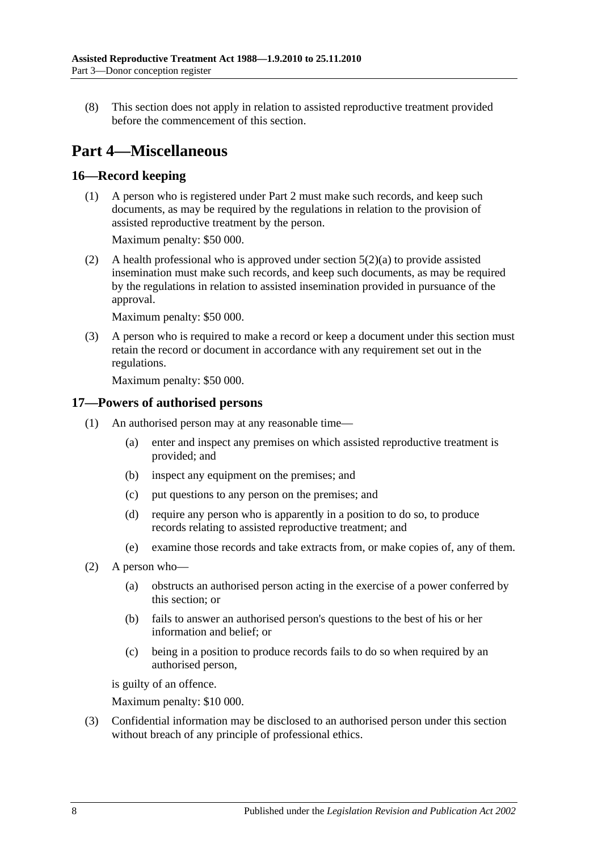(8) This section does not apply in relation to assisted reproductive treatment provided before the commencement of this section.

## <span id="page-7-0"></span>**Part 4—Miscellaneous**

## <span id="page-7-1"></span>**16—Record keeping**

(1) A person who is registered under [Part 2](#page-2-0) must make such records, and keep such documents, as may be required by the regulations in relation to the provision of assisted reproductive treatment by the person.

Maximum penalty: \$50 000.

(2) A health professional who is approved under [section](#page-2-5) 5(2)(a) to provide assisted insemination must make such records, and keep such documents, as may be required by the regulations in relation to assisted insemination provided in pursuance of the approval.

Maximum penalty: \$50 000.

(3) A person who is required to make a record or keep a document under this section must retain the record or document in accordance with any requirement set out in the regulations.

Maximum penalty: \$50 000.

## <span id="page-7-2"></span>**17—Powers of authorised persons**

- (1) An authorised person may at any reasonable time—
	- (a) enter and inspect any premises on which assisted reproductive treatment is provided; and
	- (b) inspect any equipment on the premises; and
	- (c) put questions to any person on the premises; and
	- (d) require any person who is apparently in a position to do so, to produce records relating to assisted reproductive treatment; and
	- (e) examine those records and take extracts from, or make copies of, any of them.
- (2) A person who—
	- (a) obstructs an authorised person acting in the exercise of a power conferred by this section; or
	- (b) fails to answer an authorised person's questions to the best of his or her information and belief; or
	- (c) being in a position to produce records fails to do so when required by an authorised person,

is guilty of an offence.

Maximum penalty: \$10 000.

(3) Confidential information may be disclosed to an authorised person under this section without breach of any principle of professional ethics.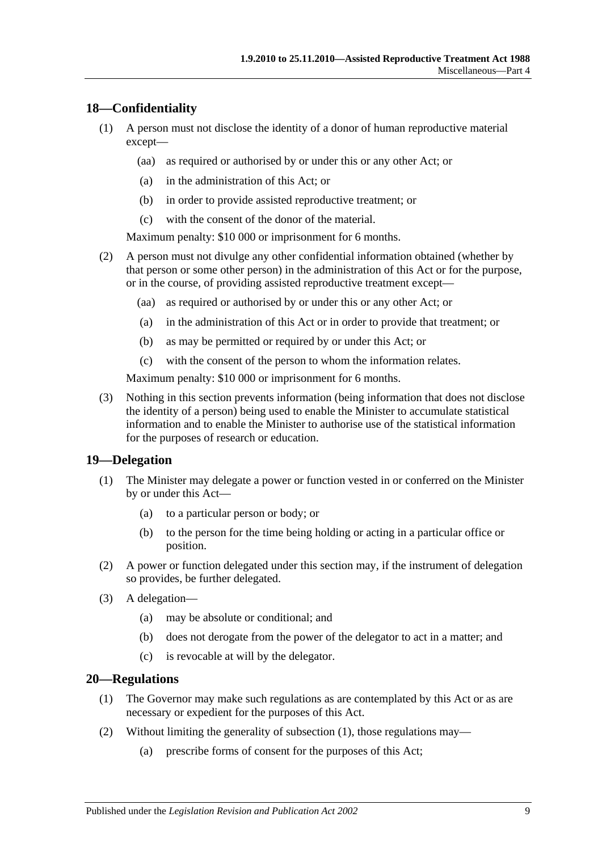## <span id="page-8-0"></span>**18—Confidentiality**

- (1) A person must not disclose the identity of a donor of human reproductive material except—
	- (aa) as required or authorised by or under this or any other Act; or
	- (a) in the administration of this Act; or
	- (b) in order to provide assisted reproductive treatment; or
	- (c) with the consent of the donor of the material.

Maximum penalty: \$10 000 or imprisonment for 6 months.

- (2) A person must not divulge any other confidential information obtained (whether by that person or some other person) in the administration of this Act or for the purpose, or in the course, of providing assisted reproductive treatment except—
	- (aa) as required or authorised by or under this or any other Act; or
	- (a) in the administration of this Act or in order to provide that treatment; or
	- (b) as may be permitted or required by or under this Act; or
	- (c) with the consent of the person to whom the information relates.

Maximum penalty: \$10 000 or imprisonment for 6 months.

(3) Nothing in this section prevents information (being information that does not disclose the identity of a person) being used to enable the Minister to accumulate statistical information and to enable the Minister to authorise use of the statistical information for the purposes of research or education.

#### <span id="page-8-1"></span>**19—Delegation**

- (1) The Minister may delegate a power or function vested in or conferred on the Minister by or under this Act—
	- (a) to a particular person or body; or
	- (b) to the person for the time being holding or acting in a particular office or position.
- (2) A power or function delegated under this section may, if the instrument of delegation so provides, be further delegated.
- (3) A delegation—
	- (a) may be absolute or conditional; and
	- (b) does not derogate from the power of the delegator to act in a matter; and
	- (c) is revocable at will by the delegator.

#### <span id="page-8-3"></span><span id="page-8-2"></span>**20—Regulations**

- (1) The Governor may make such regulations as are contemplated by this Act or as are necessary or expedient for the purposes of this Act.
- (2) Without limiting the generality of [subsection](#page-8-3) (1), those regulations may—
	- (a) prescribe forms of consent for the purposes of this Act;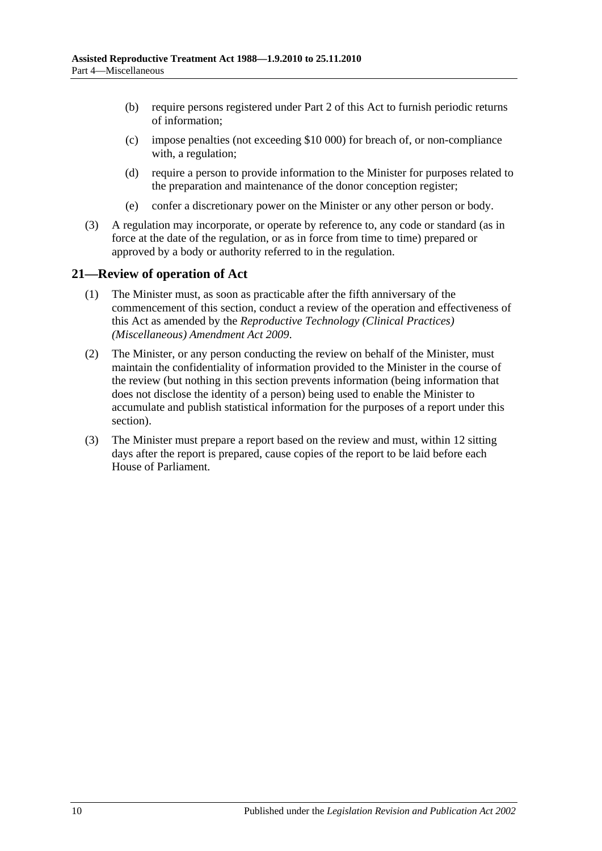- (b) require persons registered under [Part 2](#page-2-0) of this Act to furnish periodic returns of information;
- (c) impose penalties (not exceeding \$10 000) for breach of, or non-compliance with, a regulation;
- (d) require a person to provide information to the Minister for purposes related to the preparation and maintenance of the donor conception register;
- (e) confer a discretionary power on the Minister or any other person or body.
- (3) A regulation may incorporate, or operate by reference to, any code or standard (as in force at the date of the regulation, or as in force from time to time) prepared or approved by a body or authority referred to in the regulation.

## <span id="page-9-0"></span>**21—Review of operation of Act**

- (1) The Minister must, as soon as practicable after the fifth anniversary of the commencement of this section, conduct a review of the operation and effectiveness of this Act as amended by the *[Reproductive Technology \(Clinical Practices\)](http://www.legislation.sa.gov.au/index.aspx?action=legref&type=act&legtitle=Reproductive%20Technology%20(Clinical%20Practices)%20(Miscellaneous)%20Amendment%20Act%202009)  [\(Miscellaneous\) Amendment Act](http://www.legislation.sa.gov.au/index.aspx?action=legref&type=act&legtitle=Reproductive%20Technology%20(Clinical%20Practices)%20(Miscellaneous)%20Amendment%20Act%202009) 2009*.
- (2) The Minister, or any person conducting the review on behalf of the Minister, must maintain the confidentiality of information provided to the Minister in the course of the review (but nothing in this section prevents information (being information that does not disclose the identity of a person) being used to enable the Minister to accumulate and publish statistical information for the purposes of a report under this section).
- (3) The Minister must prepare a report based on the review and must, within 12 sitting days after the report is prepared, cause copies of the report to be laid before each House of Parliament.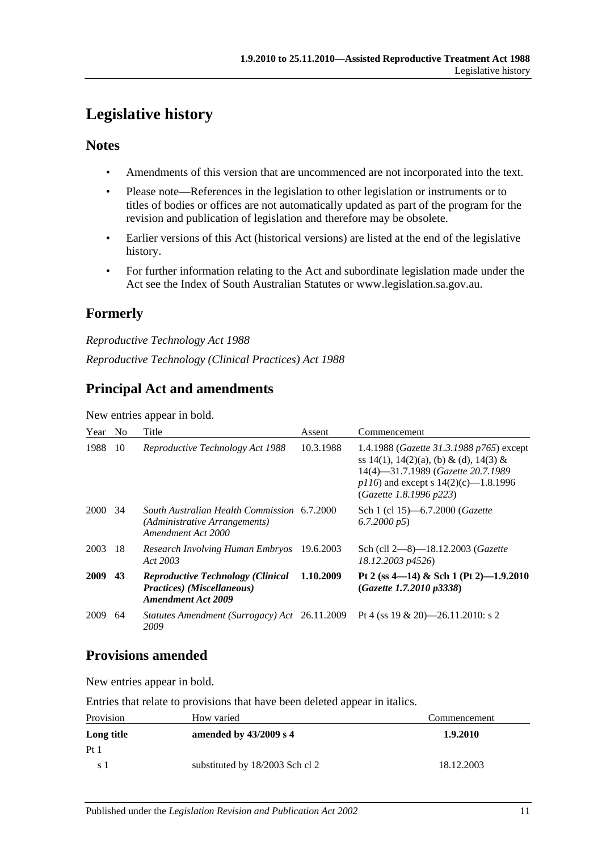## <span id="page-10-0"></span>**Legislative history**

## **Notes**

- Amendments of this version that are uncommenced are not incorporated into the text.
- Please note—References in the legislation to other legislation or instruments or to titles of bodies or offices are not automatically updated as part of the program for the revision and publication of legislation and therefore may be obsolete.
- Earlier versions of this Act (historical versions) are listed at the end of the legislative history.
- For further information relating to the Act and subordinate legislation made under the Act see the Index of South Australian Statutes or www.legislation.sa.gov.au.

## **Formerly**

*Reproductive Technology Act 1988 Reproductive Technology (Clinical Practices) Act 1988*

## **Principal Act and amendments**

New entries appear in bold.

| Year | N <sub>0</sub> | Title                                                                                               | Assent    | Commencement                                                                                                                                                                                            |
|------|----------------|-----------------------------------------------------------------------------------------------------|-----------|---------------------------------------------------------------------------------------------------------------------------------------------------------------------------------------------------------|
| 1988 | 10             | Reproductive Technology Act 1988                                                                    | 10.3.1988 | 1.4.1988 ( <i>Gazette 31.3.1988 p765</i> ) except<br>ss 14(1), 14(2)(a), (b) & (d), 14(3) &<br>14(4)-31.7.1989 (Gazette 20.7.1989<br>$p116$ ) and except s 14(2)(c)—1.8.1996<br>(Gazette 1.8.1996 p223) |
| 2000 | 34             | South Australian Health Commission 6.7.2000<br>(Administrative Arrangements)<br>Amendment Act 2000  |           | Sch 1 (cl 15)-6.7.2000 ( <i>Gazette</i><br>6.7.2000 p5                                                                                                                                                  |
| 2003 | -18            | Research Involving Human Embryos<br>Act 2003                                                        | 19.6.2003 | Sch (cll 2-8)-18.12.2003 (Gazette<br>18.12.2003 p4526)                                                                                                                                                  |
| 2009 | 43             | <b>Reproductive Technology (Clinical</b><br>Practices) (Miscellaneous)<br><b>Amendment Act 2009</b> | 1.10.2009 | Pt 2 (ss 4-14) & Sch 1 (Pt 2)-1.9.2010<br>(Gaz,ette 1.7.2010 p3338)                                                                                                                                     |
| 2009 | 64             | Statutes Amendment (Surrogacy) Act 26.11.2009<br>2009                                               |           | Pt 4 (ss $19 \& 20$ )—26.11.2010: s 2                                                                                                                                                                   |

## **Provisions amended**

New entries appear in bold.

Entries that relate to provisions that have been deleted appear in italics.

| Provision  | How varied                      | Commencement |
|------------|---------------------------------|--------------|
| Long title | amended by $43/2009$ s 4        | 1.9.2010     |
| Pt 1       |                                 |              |
| s l        | substituted by 18/2003 Sch cl 2 | 18.12.2003   |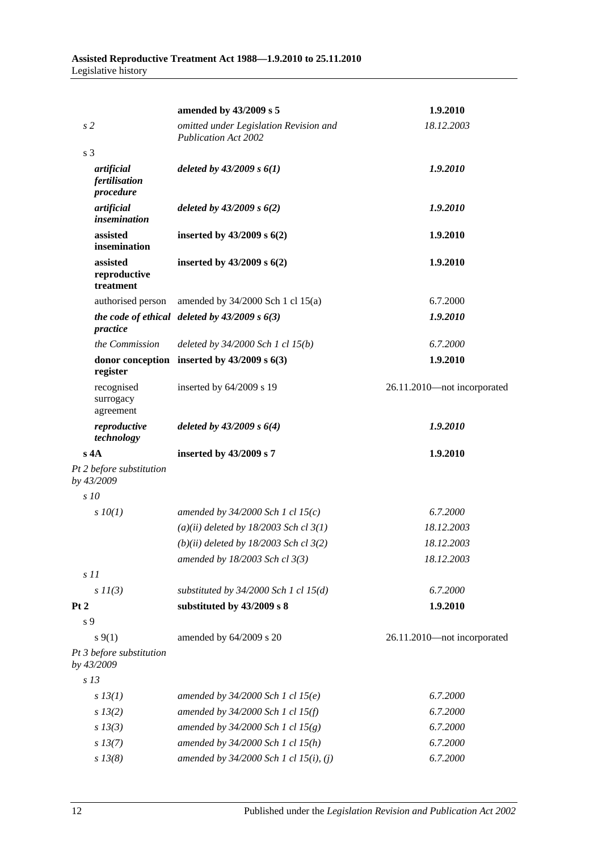|                                          | amended by 43/2009 s 5                                                | 1.9.2010                    |  |
|------------------------------------------|-----------------------------------------------------------------------|-----------------------------|--|
| s <sub>2</sub>                           | omitted under Legislation Revision and<br><b>Publication Act 2002</b> | 18.12.2003                  |  |
| s <sub>3</sub>                           |                                                                       |                             |  |
| artificial<br>fertilisation<br>procedure | deleted by $43/2009 s 6(1)$                                           | 1.9.2010                    |  |
| artificial<br><i>insemination</i>        | deleted by $43/2009 s 6(2)$                                           | 1.9.2010                    |  |
| assisted<br>insemination                 | inserted by $43/2009$ s $6(2)$                                        | 1.9.2010                    |  |
| assisted<br>reproductive<br>treatment    | inserted by $43/2009$ s $6(2)$                                        | 1.9.2010                    |  |
| authorised person                        | amended by $34/2000$ Sch 1 cl $15(a)$                                 | 6.7.2000                    |  |
| practice                                 | the code of ethical deleted by $43/2009 s 6(3)$                       | 1.9.2010                    |  |
| the Commission                           | deleted by $34/2000$ Sch 1 cl $15(b)$                                 | 6.7.2000                    |  |
| register                                 | donor conception inserted by $43/2009$ s $6(3)$                       | 1.9.2010                    |  |
| recognised<br>surrogacy<br>agreement     | inserted by 64/2009 s 19                                              | 26.11.2010-not incorporated |  |
| reproductive<br>technology               | deleted by $43/2009 s 6(4)$                                           | 1.9.2010                    |  |
| $s$ 4A                                   | inserted by 43/2009 s 7                                               | 1.9.2010                    |  |
| Pt 2 before substitution<br>by 43/2009   |                                                                       |                             |  |
| s10                                      |                                                                       |                             |  |
| $s$ $10(1)$                              | amended by $34/2000$ Sch 1 cl 15(c)                                   | 6.7.2000                    |  |
|                                          | $(a)(ii)$ deleted by 18/2003 Sch cl 3(1)                              | 18.12.2003                  |  |
|                                          | $(b)(ii)$ deleted by 18/2003 Sch cl 3(2)                              | 18.12.2003                  |  |
|                                          | amended by 18/2003 Sch cl 3(3)                                        | 18.12.2003                  |  |
| $s$ 11                                   |                                                                       |                             |  |
| $s$ $11(3)$                              | substituted by $34/2000$ Sch 1 cl $15(d)$                             | 6.7.2000                    |  |
| Pt 2                                     | substituted by 43/2009 s 8                                            | 1.9.2010                    |  |
| s <sub>9</sub>                           |                                                                       |                             |  |
| $s \, 9(1)$                              | amended by 64/2009 s 20                                               | 26.11.2010-not incorporated |  |
| Pt 3 before substitution<br>by 43/2009   |                                                                       |                             |  |
| s <sub>13</sub>                          |                                                                       |                             |  |
| $s$ 13(1)                                | amended by $34/2000$ Sch 1 cl $15(e)$                                 | 6.7.2000                    |  |
| s 13(2)                                  | amended by 34/2000 Sch 1 cl 15(f)                                     | 6.7.2000                    |  |
| $s$ 13(3)                                | amended by $34/2000$ Sch 1 cl $15(g)$                                 | 6.7.2000                    |  |
| $s$ 13(7)                                | amended by 34/2000 Sch 1 cl 15(h)                                     | 6.7.2000                    |  |
| $s\,13(8)$                               | amended by 34/2000 Sch 1 cl 15(i), (j)                                | 6.7.2000                    |  |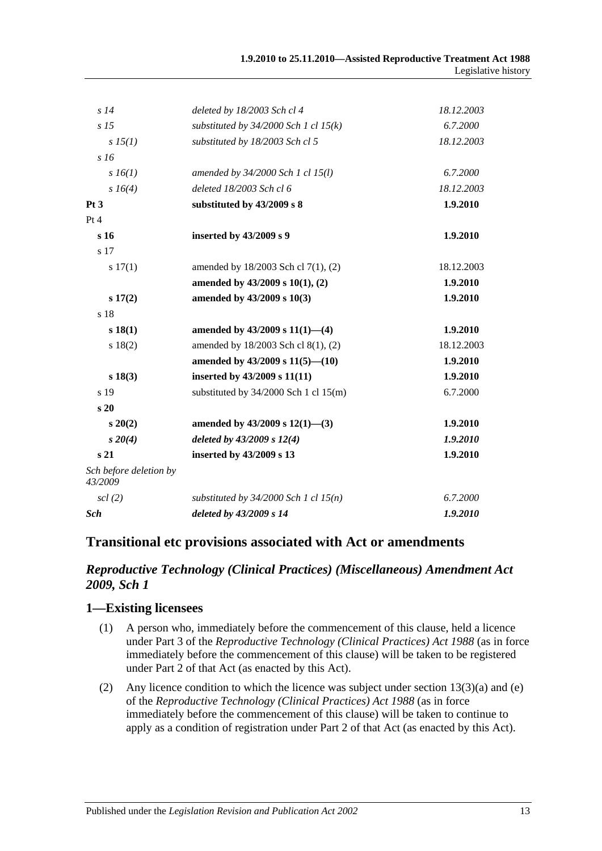| s14                               | deleted by 18/2003 Sch cl 4               | 18.12.2003 |
|-----------------------------------|-------------------------------------------|------------|
| s <sub>15</sub>                   | substituted by $34/2000$ Sch 1 cl $15(k)$ | 6.7.2000   |
| sI5(1)                            | substituted by 18/2003 Sch cl 5           | 18.12.2003 |
| s16                               |                                           |            |
| $s\,16(1)$                        | amended by 34/2000 Sch 1 cl 15(l)         | 6.7.2000   |
| s 16(4)                           | deleted 18/2003 Sch cl 6                  | 18.12.2003 |
| Pt <sub>3</sub>                   | substituted by 43/2009 s 8                | 1.9.2010   |
| Pt 4                              |                                           |            |
| s 16                              | inserted by 43/2009 s 9                   | 1.9.2010   |
| s 17                              |                                           |            |
| s 17(1)                           | amended by 18/2003 Sch cl 7(1), (2)       | 18.12.2003 |
|                                   | amended by 43/2009 s 10(1), (2)           | 1.9.2010   |
| s 17(2)                           | amended by 43/2009 s 10(3)                | 1.9.2010   |
| s 18                              |                                           |            |
| s 18(1)                           | amended by $43/2009$ s $11(1)$ —(4)       | 1.9.2010   |
| s 18(2)                           | amended by 18/2003 Sch cl 8(1), (2)       | 18.12.2003 |
|                                   | amended by $43/2009$ s $11(5)$ — $(10)$   | 1.9.2010   |
| s 18(3)                           | inserted by 43/2009 s 11(11)              | 1.9.2010   |
| s 19                              | substituted by $34/2000$ Sch 1 cl $15(m)$ | 6.7.2000   |
| s <sub>20</sub>                   |                                           |            |
| $s\,20(2)$                        | amended by $43/2009$ s $12(1)$ —(3)       | 1.9.2010   |
| $s \, 20(4)$                      | deleted by 43/2009 s 12(4)                | 1.9.2010   |
| s <sub>21</sub>                   | inserted by 43/2009 s 13                  | 1.9.2010   |
| Sch before deletion by<br>43/2009 |                                           |            |
| $\operatorname{scl}(2)$           | substituted by $34/2000$ Sch 1 cl $15(n)$ | 6.7.2000   |
| Sch                               | deleted by 43/2009 s 14                   | 1.9.2010   |

## **Transitional etc provisions associated with Act or amendments**

## *Reproductive Technology (Clinical Practices) (Miscellaneous) Amendment Act 2009, Sch 1*

## **1—Existing licensees**

- (1) A person who, immediately before the commencement of this clause, held a licence under Part 3 of the *[Reproductive Technology \(Clinical Practices\) Act](http://www.legislation.sa.gov.au/index.aspx?action=legref&type=act&legtitle=Reproductive%20Technology%20(Clinical%20Practices)%20Act%201988) 1988* (as in force immediately before the commencement of this clause) will be taken to be registered under Part 2 of that Act (as enacted by this Act).
- (2) Any licence condition to which the licence was subject under section 13(3)(a) and (e) of the *[Reproductive Technology \(Clinical Practices\) Act](http://www.legislation.sa.gov.au/index.aspx?action=legref&type=act&legtitle=Reproductive%20Technology%20(Clinical%20Practices)%20Act%201988) 1988* (as in force immediately before the commencement of this clause) will be taken to continue to apply as a condition of registration under Part 2 of that Act (as enacted by this Act).